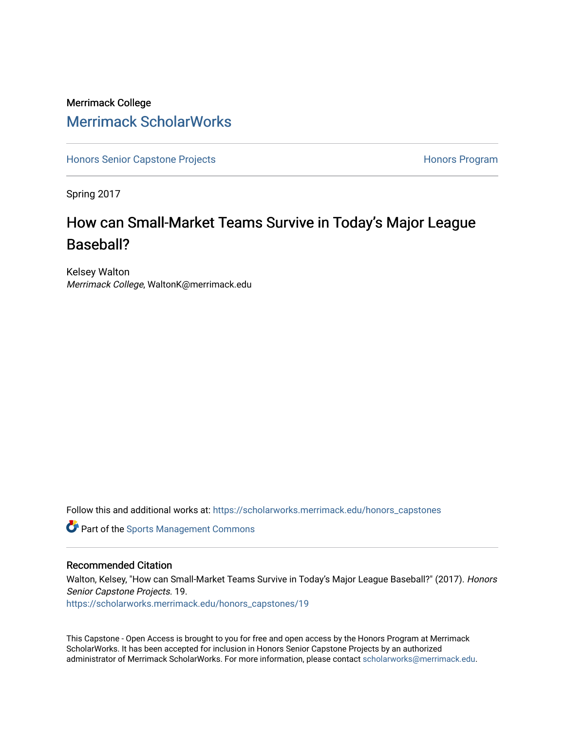### Merrimack College [Merrimack ScholarWorks](https://scholarworks.merrimack.edu/)

[Honors Senior Capstone Projects](https://scholarworks.merrimack.edu/honors_capstones) **Honors Program** Honors Program

Spring 2017

## How can Small-Market Teams Survive in Today's Major League Baseball?

Kelsey Walton Merrimack College, WaltonK@merrimack.edu

Follow this and additional works at: [https://scholarworks.merrimack.edu/honors\\_capstones](https://scholarworks.merrimack.edu/honors_capstones?utm_source=scholarworks.merrimack.edu%2Fhonors_capstones%2F19&utm_medium=PDF&utm_campaign=PDFCoverPages)

**Part of the [Sports Management Commons](http://network.bepress.com/hgg/discipline/1193?utm_source=scholarworks.merrimack.edu%2Fhonors_capstones%2F19&utm_medium=PDF&utm_campaign=PDFCoverPages)** 

#### Recommended Citation

Walton, Kelsey, "How can Small-Market Teams Survive in Today's Major League Baseball?" (2017). Honors Senior Capstone Projects. 19.

[https://scholarworks.merrimack.edu/honors\\_capstones/19](https://scholarworks.merrimack.edu/honors_capstones/19?utm_source=scholarworks.merrimack.edu%2Fhonors_capstones%2F19&utm_medium=PDF&utm_campaign=PDFCoverPages) 

This Capstone - Open Access is brought to you for free and open access by the Honors Program at Merrimack ScholarWorks. It has been accepted for inclusion in Honors Senior Capstone Projects by an authorized administrator of Merrimack ScholarWorks. For more information, please contact [scholarworks@merrimack.edu](mailto:scholarworks@merrimack.edu).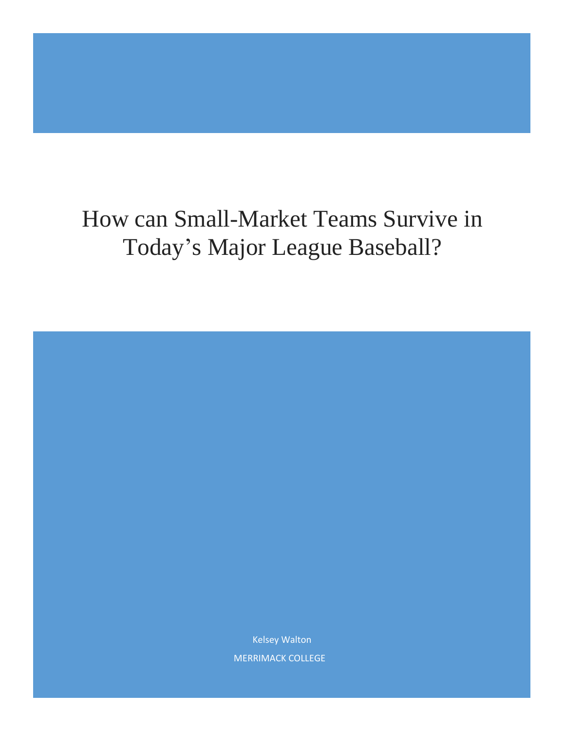# How can Small-Market Teams Survive in Today's Major League Baseball?

Kelsey Walton MERRIMACK COLLEGE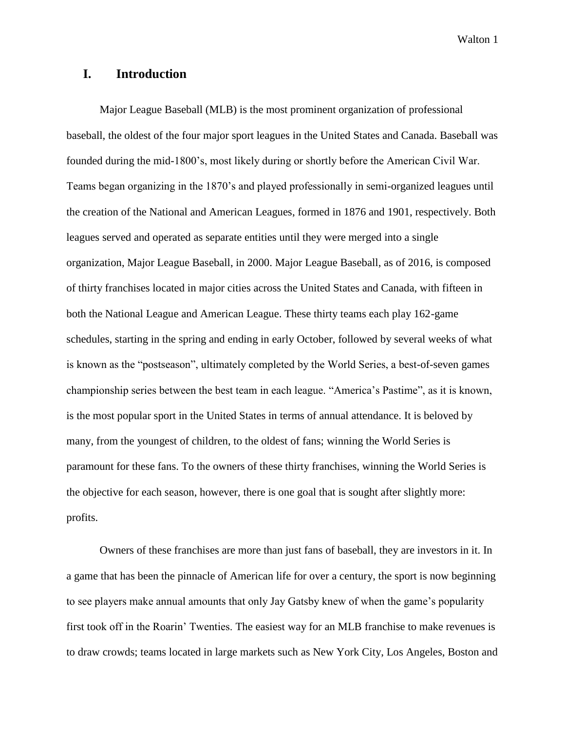#### **I. Introduction**

Major League Baseball (MLB) is the most prominent organization of professional baseball, the oldest of the four major sport leagues in the United States and Canada. Baseball was founded during the mid-1800's, most likely during or shortly before the American Civil War. Teams began organizing in the 1870's and played professionally in semi-organized leagues until the creation of the National and American Leagues, formed in 1876 and 1901, respectively. Both leagues served and operated as separate entities until they were merged into a single organization, Major League Baseball, in 2000. Major League Baseball, as of 2016, is composed of thirty franchises located in major cities across the United States and Canada, with fifteen in both the National League and American League. These thirty teams each play 162-game schedules, starting in the spring and ending in early October, followed by several weeks of what is known as the "postseason", ultimately completed by the World Series, a best-of-seven games championship series between the best team in each league. "America's Pastime", as it is known, is the most popular sport in the United States in terms of annual attendance. It is beloved by many, from the youngest of children, to the oldest of fans; winning the World Series is paramount for these fans. To the owners of these thirty franchises, winning the World Series is the objective for each season, however, there is one goal that is sought after slightly more: profits.

Owners of these franchises are more than just fans of baseball, they are investors in it. In a game that has been the pinnacle of American life for over a century, the sport is now beginning to see players make annual amounts that only Jay Gatsby knew of when the game's popularity first took off in the Roarin' Twenties. The easiest way for an MLB franchise to make revenues is to draw crowds; teams located in large markets such as New York City, Los Angeles, Boston and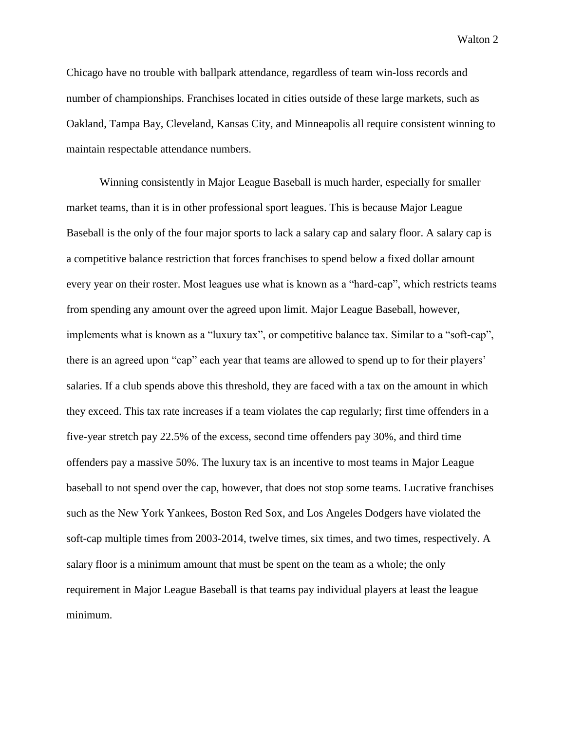Chicago have no trouble with ballpark attendance, regardless of team win-loss records and number of championships. Franchises located in cities outside of these large markets, such as Oakland, Tampa Bay, Cleveland, Kansas City, and Minneapolis all require consistent winning to maintain respectable attendance numbers.

Winning consistently in Major League Baseball is much harder, especially for smaller market teams, than it is in other professional sport leagues. This is because Major League Baseball is the only of the four major sports to lack a salary cap and salary floor. A salary cap is a competitive balance restriction that forces franchises to spend below a fixed dollar amount every year on their roster. Most leagues use what is known as a "hard-cap", which restricts teams from spending any amount over the agreed upon limit. Major League Baseball, however, implements what is known as a "luxury tax", or competitive balance tax. Similar to a "soft-cap", there is an agreed upon "cap" each year that teams are allowed to spend up to for their players' salaries. If a club spends above this threshold, they are faced with a tax on the amount in which they exceed. This tax rate increases if a team violates the cap regularly; first time offenders in a five-year stretch pay 22.5% of the excess, second time offenders pay 30%, and third time offenders pay a massive 50%. The luxury tax is an incentive to most teams in Major League baseball to not spend over the cap, however, that does not stop some teams. Lucrative franchises such as the New York Yankees, Boston Red Sox, and Los Angeles Dodgers have violated the soft-cap multiple times from 2003-2014, twelve times, six times, and two times, respectively. A salary floor is a minimum amount that must be spent on the team as a whole; the only requirement in Major League Baseball is that teams pay individual players at least the league minimum.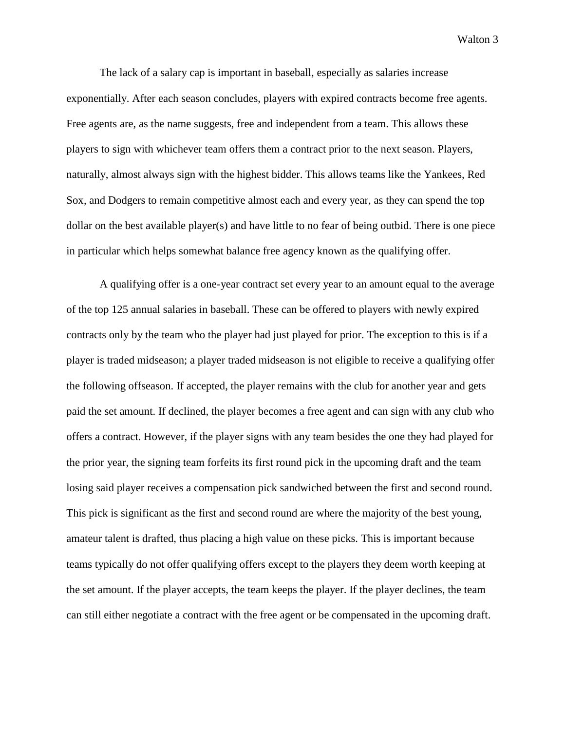The lack of a salary cap is important in baseball, especially as salaries increase exponentially. After each season concludes, players with expired contracts become free agents. Free agents are, as the name suggests, free and independent from a team. This allows these players to sign with whichever team offers them a contract prior to the next season. Players, naturally, almost always sign with the highest bidder. This allows teams like the Yankees, Red Sox, and Dodgers to remain competitive almost each and every year, as they can spend the top dollar on the best available player(s) and have little to no fear of being outbid. There is one piece in particular which helps somewhat balance free agency known as the qualifying offer.

A qualifying offer is a one-year contract set every year to an amount equal to the average of the top 125 annual salaries in baseball. These can be offered to players with newly expired contracts only by the team who the player had just played for prior. The exception to this is if a player is traded midseason; a player traded midseason is not eligible to receive a qualifying offer the following offseason. If accepted, the player remains with the club for another year and gets paid the set amount. If declined, the player becomes a free agent and can sign with any club who offers a contract. However, if the player signs with any team besides the one they had played for the prior year, the signing team forfeits its first round pick in the upcoming draft and the team losing said player receives a compensation pick sandwiched between the first and second round. This pick is significant as the first and second round are where the majority of the best young, amateur talent is drafted, thus placing a high value on these picks. This is important because teams typically do not offer qualifying offers except to the players they deem worth keeping at the set amount. If the player accepts, the team keeps the player. If the player declines, the team can still either negotiate a contract with the free agent or be compensated in the upcoming draft.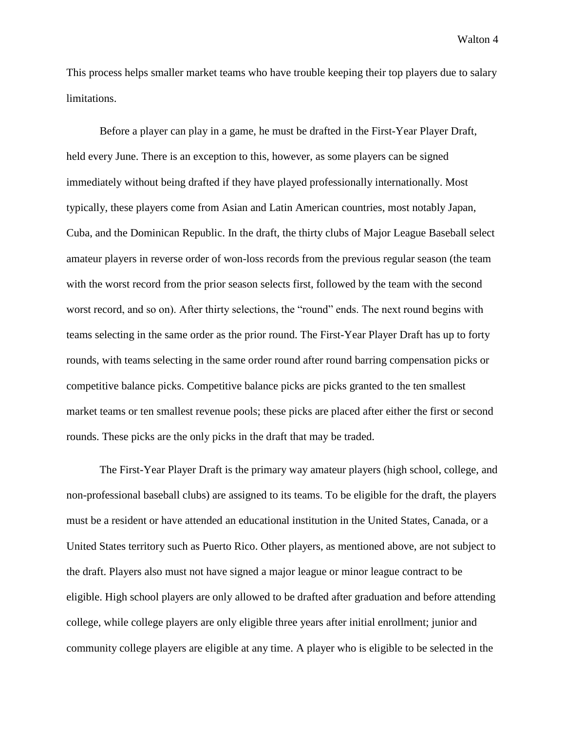This process helps smaller market teams who have trouble keeping their top players due to salary limitations.

Before a player can play in a game, he must be drafted in the First-Year Player Draft, held every June. There is an exception to this, however, as some players can be signed immediately without being drafted if they have played professionally internationally. Most typically, these players come from Asian and Latin American countries, most notably Japan, Cuba, and the Dominican Republic. In the draft, the thirty clubs of Major League Baseball select amateur players in reverse order of won-loss records from the previous regular season (the team with the worst record from the prior season selects first, followed by the team with the second worst record, and so on). After thirty selections, the "round" ends. The next round begins with teams selecting in the same order as the prior round. The First-Year Player Draft has up to forty rounds, with teams selecting in the same order round after round barring compensation picks or competitive balance picks. Competitive balance picks are picks granted to the ten smallest market teams or ten smallest revenue pools; these picks are placed after either the first or second rounds. These picks are the only picks in the draft that may be traded.

The First-Year Player Draft is the primary way amateur players (high school, college, and non-professional baseball clubs) are assigned to its teams. To be eligible for the draft, the players must be a resident or have attended an educational institution in the United States, Canada, or a United States territory such as Puerto Rico. Other players, as mentioned above, are not subject to the draft. Players also must not have signed a major league or minor league contract to be eligible. High school players are only allowed to be drafted after graduation and before attending college, while college players are only eligible three years after initial enrollment; junior and community college players are eligible at any time. A player who is eligible to be selected in the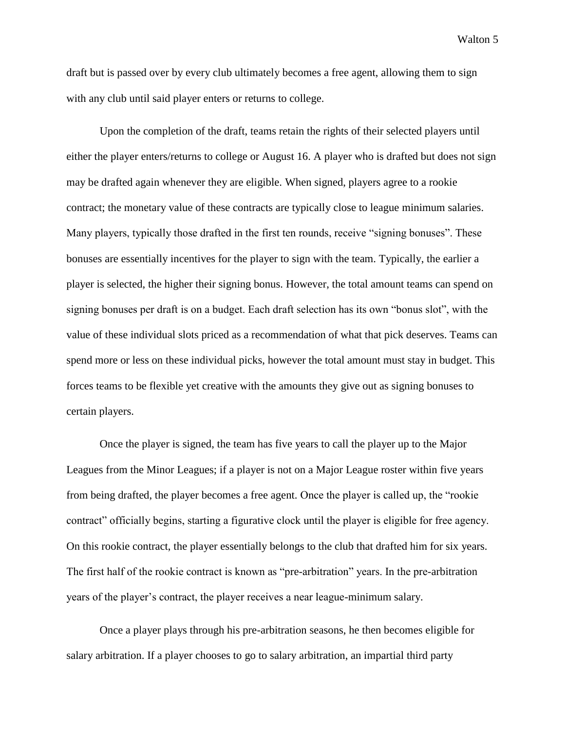draft but is passed over by every club ultimately becomes a free agent, allowing them to sign with any club until said player enters or returns to college.

Upon the completion of the draft, teams retain the rights of their selected players until either the player enters/returns to college or August 16. A player who is drafted but does not sign may be drafted again whenever they are eligible. When signed, players agree to a rookie contract; the monetary value of these contracts are typically close to league minimum salaries. Many players, typically those drafted in the first ten rounds, receive "signing bonuses". These bonuses are essentially incentives for the player to sign with the team. Typically, the earlier a player is selected, the higher their signing bonus. However, the total amount teams can spend on signing bonuses per draft is on a budget. Each draft selection has its own "bonus slot", with the value of these individual slots priced as a recommendation of what that pick deserves. Teams can spend more or less on these individual picks, however the total amount must stay in budget. This forces teams to be flexible yet creative with the amounts they give out as signing bonuses to certain players.

Once the player is signed, the team has five years to call the player up to the Major Leagues from the Minor Leagues; if a player is not on a Major League roster within five years from being drafted, the player becomes a free agent. Once the player is called up, the "rookie contract" officially begins, starting a figurative clock until the player is eligible for free agency. On this rookie contract, the player essentially belongs to the club that drafted him for six years. The first half of the rookie contract is known as "pre-arbitration" years. In the pre-arbitration years of the player's contract, the player receives a near league-minimum salary.

Once a player plays through his pre-arbitration seasons, he then becomes eligible for salary arbitration. If a player chooses to go to salary arbitration, an impartial third party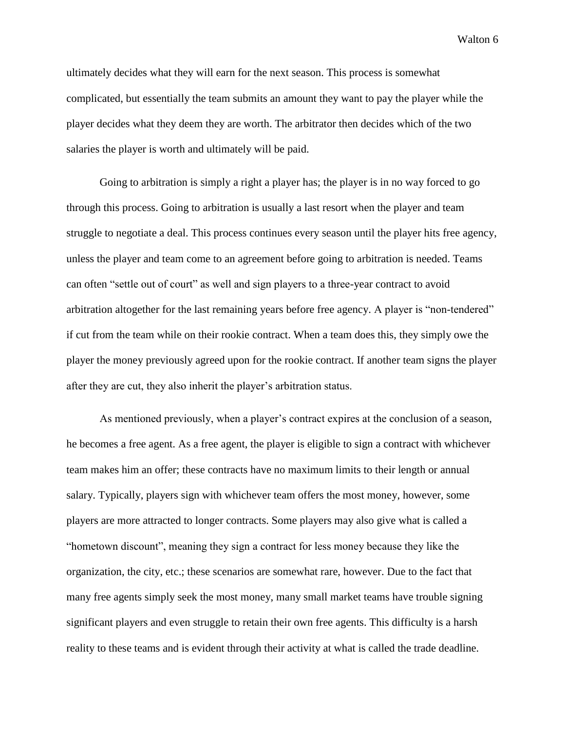ultimately decides what they will earn for the next season. This process is somewhat complicated, but essentially the team submits an amount they want to pay the player while the player decides what they deem they are worth. The arbitrator then decides which of the two salaries the player is worth and ultimately will be paid.

Going to arbitration is simply a right a player has; the player is in no way forced to go through this process. Going to arbitration is usually a last resort when the player and team struggle to negotiate a deal. This process continues every season until the player hits free agency, unless the player and team come to an agreement before going to arbitration is needed. Teams can often "settle out of court" as well and sign players to a three-year contract to avoid arbitration altogether for the last remaining years before free agency. A player is "non-tendered" if cut from the team while on their rookie contract. When a team does this, they simply owe the player the money previously agreed upon for the rookie contract. If another team signs the player after they are cut, they also inherit the player's arbitration status.

As mentioned previously, when a player's contract expires at the conclusion of a season, he becomes a free agent. As a free agent, the player is eligible to sign a contract with whichever team makes him an offer; these contracts have no maximum limits to their length or annual salary. Typically, players sign with whichever team offers the most money, however, some players are more attracted to longer contracts. Some players may also give what is called a "hometown discount", meaning they sign a contract for less money because they like the organization, the city, etc.; these scenarios are somewhat rare, however. Due to the fact that many free agents simply seek the most money, many small market teams have trouble signing significant players and even struggle to retain their own free agents. This difficulty is a harsh reality to these teams and is evident through their activity at what is called the trade deadline.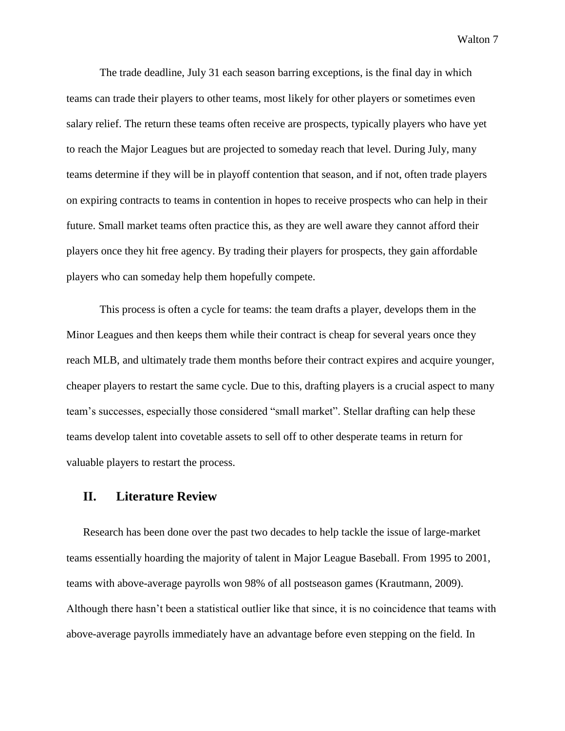The trade deadline, July 31 each season barring exceptions, is the final day in which teams can trade their players to other teams, most likely for other players or sometimes even salary relief. The return these teams often receive are prospects, typically players who have yet to reach the Major Leagues but are projected to someday reach that level. During July, many teams determine if they will be in playoff contention that season, and if not, often trade players on expiring contracts to teams in contention in hopes to receive prospects who can help in their future. Small market teams often practice this, as they are well aware they cannot afford their players once they hit free agency. By trading their players for prospects, they gain affordable players who can someday help them hopefully compete.

This process is often a cycle for teams: the team drafts a player, develops them in the Minor Leagues and then keeps them while their contract is cheap for several years once they reach MLB, and ultimately trade them months before their contract expires and acquire younger, cheaper players to restart the same cycle. Due to this, drafting players is a crucial aspect to many team's successes, especially those considered "small market". Stellar drafting can help these teams develop talent into covetable assets to sell off to other desperate teams in return for valuable players to restart the process.

#### **II. Literature Review**

Research has been done over the past two decades to help tackle the issue of large-market teams essentially hoarding the majority of talent in Major League Baseball. From 1995 to 2001, teams with above-average payrolls won 98% of all postseason games (Krautmann, 2009). Although there hasn't been a statistical outlier like that since, it is no coincidence that teams with above-average payrolls immediately have an advantage before even stepping on the field. In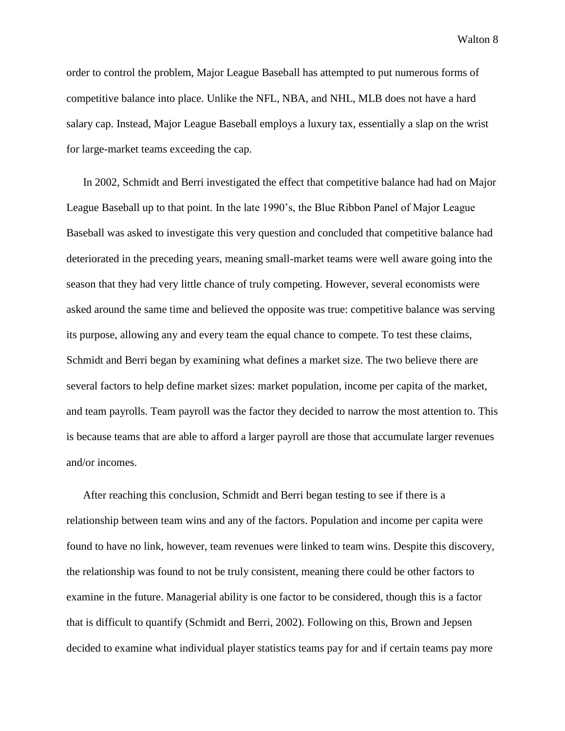order to control the problem, Major League Baseball has attempted to put numerous forms of competitive balance into place. Unlike the NFL, NBA, and NHL, MLB does not have a hard salary cap. Instead, Major League Baseball employs a luxury tax, essentially a slap on the wrist for large-market teams exceeding the cap.

In 2002, Schmidt and Berri investigated the effect that competitive balance had had on Major League Baseball up to that point. In the late 1990's, the Blue Ribbon Panel of Major League Baseball was asked to investigate this very question and concluded that competitive balance had deteriorated in the preceding years, meaning small-market teams were well aware going into the season that they had very little chance of truly competing. However, several economists were asked around the same time and believed the opposite was true: competitive balance was serving its purpose, allowing any and every team the equal chance to compete. To test these claims, Schmidt and Berri began by examining what defines a market size. The two believe there are several factors to help define market sizes: market population, income per capita of the market, and team payrolls. Team payroll was the factor they decided to narrow the most attention to. This is because teams that are able to afford a larger payroll are those that accumulate larger revenues and/or incomes.

After reaching this conclusion, Schmidt and Berri began testing to see if there is a relationship between team wins and any of the factors. Population and income per capita were found to have no link, however, team revenues were linked to team wins. Despite this discovery, the relationship was found to not be truly consistent, meaning there could be other factors to examine in the future. Managerial ability is one factor to be considered, though this is a factor that is difficult to quantify (Schmidt and Berri, 2002). Following on this, Brown and Jepsen decided to examine what individual player statistics teams pay for and if certain teams pay more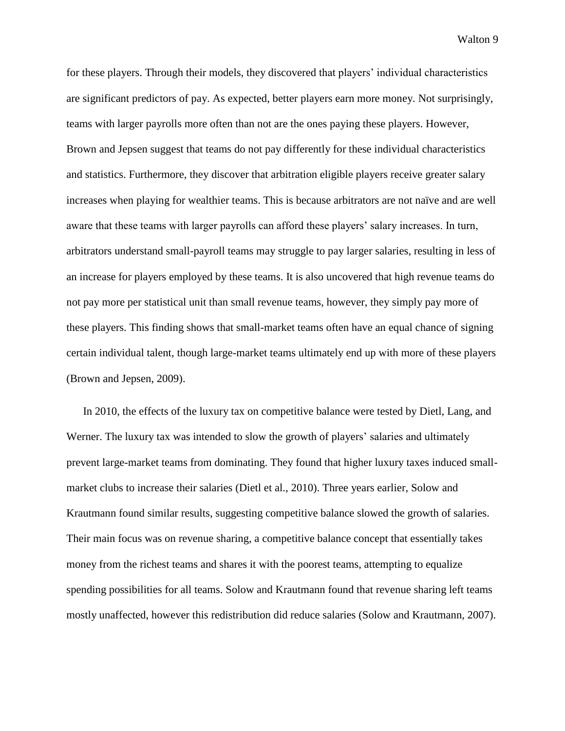for these players. Through their models, they discovered that players' individual characteristics are significant predictors of pay. As expected, better players earn more money. Not surprisingly, teams with larger payrolls more often than not are the ones paying these players. However, Brown and Jepsen suggest that teams do not pay differently for these individual characteristics and statistics. Furthermore, they discover that arbitration eligible players receive greater salary increases when playing for wealthier teams. This is because arbitrators are not naïve and are well aware that these teams with larger payrolls can afford these players' salary increases. In turn, arbitrators understand small-payroll teams may struggle to pay larger salaries, resulting in less of an increase for players employed by these teams. It is also uncovered that high revenue teams do not pay more per statistical unit than small revenue teams, however, they simply pay more of these players. This finding shows that small-market teams often have an equal chance of signing certain individual talent, though large-market teams ultimately end up with more of these players (Brown and Jepsen, 2009).

In 2010, the effects of the luxury tax on competitive balance were tested by Dietl, Lang, and Werner. The luxury tax was intended to slow the growth of players' salaries and ultimately prevent large-market teams from dominating. They found that higher luxury taxes induced smallmarket clubs to increase their salaries (Dietl et al., 2010). Three years earlier, Solow and Krautmann found similar results, suggesting competitive balance slowed the growth of salaries. Their main focus was on revenue sharing, a competitive balance concept that essentially takes money from the richest teams and shares it with the poorest teams, attempting to equalize spending possibilities for all teams. Solow and Krautmann found that revenue sharing left teams mostly unaffected, however this redistribution did reduce salaries (Solow and Krautmann, 2007).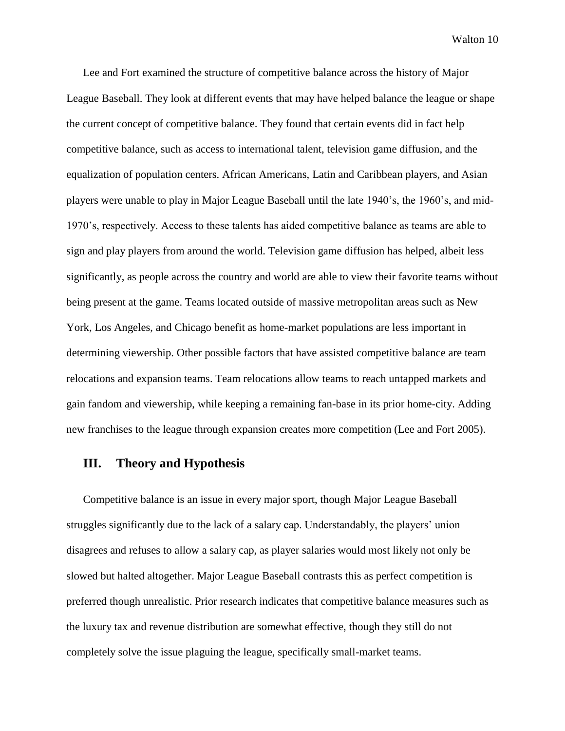Lee and Fort examined the structure of competitive balance across the history of Major League Baseball. They look at different events that may have helped balance the league or shape the current concept of competitive balance. They found that certain events did in fact help competitive balance, such as access to international talent, television game diffusion, and the equalization of population centers. African Americans, Latin and Caribbean players, and Asian players were unable to play in Major League Baseball until the late 1940's, the 1960's, and mid-1970's, respectively. Access to these talents has aided competitive balance as teams are able to sign and play players from around the world. Television game diffusion has helped, albeit less significantly, as people across the country and world are able to view their favorite teams without being present at the game. Teams located outside of massive metropolitan areas such as New York, Los Angeles, and Chicago benefit as home-market populations are less important in determining viewership. Other possible factors that have assisted competitive balance are team relocations and expansion teams. Team relocations allow teams to reach untapped markets and gain fandom and viewership, while keeping a remaining fan-base in its prior home-city. Adding new franchises to the league through expansion creates more competition (Lee and Fort 2005).

#### **III. Theory and Hypothesis**

Competitive balance is an issue in every major sport, though Major League Baseball struggles significantly due to the lack of a salary cap. Understandably, the players' union disagrees and refuses to allow a salary cap, as player salaries would most likely not only be slowed but halted altogether. Major League Baseball contrasts this as perfect competition is preferred though unrealistic. Prior research indicates that competitive balance measures such as the luxury tax and revenue distribution are somewhat effective, though they still do not completely solve the issue plaguing the league, specifically small-market teams.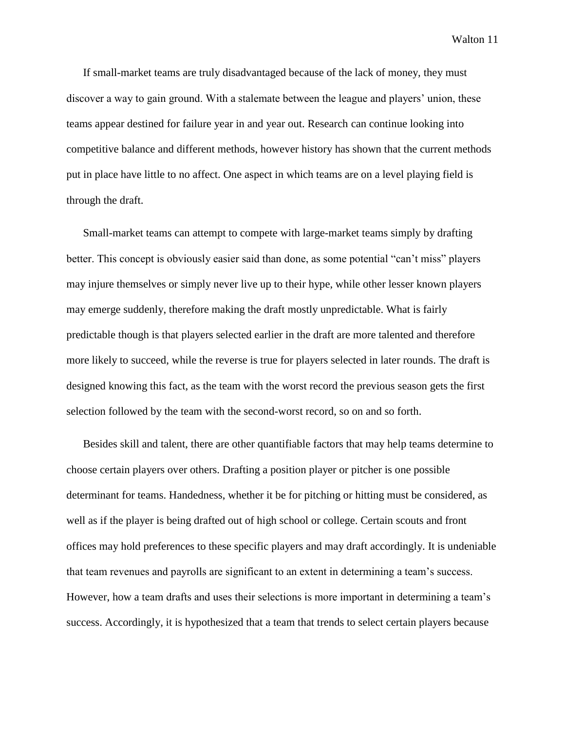If small-market teams are truly disadvantaged because of the lack of money, they must discover a way to gain ground. With a stalemate between the league and players' union, these teams appear destined for failure year in and year out. Research can continue looking into competitive balance and different methods, however history has shown that the current methods put in place have little to no affect. One aspect in which teams are on a level playing field is through the draft.

Small-market teams can attempt to compete with large-market teams simply by drafting better. This concept is obviously easier said than done, as some potential "can't miss" players may injure themselves or simply never live up to their hype, while other lesser known players may emerge suddenly, therefore making the draft mostly unpredictable. What is fairly predictable though is that players selected earlier in the draft are more talented and therefore more likely to succeed, while the reverse is true for players selected in later rounds. The draft is designed knowing this fact, as the team with the worst record the previous season gets the first selection followed by the team with the second-worst record, so on and so forth.

Besides skill and talent, there are other quantifiable factors that may help teams determine to choose certain players over others. Drafting a position player or pitcher is one possible determinant for teams. Handedness, whether it be for pitching or hitting must be considered, as well as if the player is being drafted out of high school or college. Certain scouts and front offices may hold preferences to these specific players and may draft accordingly. It is undeniable that team revenues and payrolls are significant to an extent in determining a team's success. However, how a team drafts and uses their selections is more important in determining a team's success. Accordingly, it is hypothesized that a team that trends to select certain players because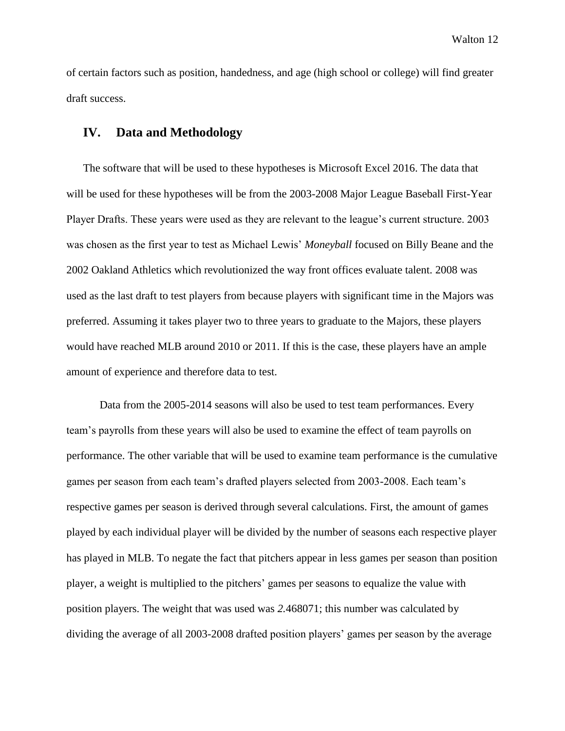of certain factors such as position, handedness, and age (high school or college) will find greater draft success.

#### **IV. Data and Methodology**

The software that will be used to these hypotheses is Microsoft Excel 2016. The data that will be used for these hypotheses will be from the 2003-2008 Major League Baseball First-Year Player Drafts. These years were used as they are relevant to the league's current structure. 2003 was chosen as the first year to test as Michael Lewis' *Moneyball* focused on Billy Beane and the 2002 Oakland Athletics which revolutionized the way front offices evaluate talent. 2008 was used as the last draft to test players from because players with significant time in the Majors was preferred. Assuming it takes player two to three years to graduate to the Majors, these players would have reached MLB around 2010 or 2011. If this is the case, these players have an ample amount of experience and therefore data to test.

Data from the 2005-2014 seasons will also be used to test team performances. Every team's payrolls from these years will also be used to examine the effect of team payrolls on performance. The other variable that will be used to examine team performance is the cumulative games per season from each team's drafted players selected from 2003-2008. Each team's respective games per season is derived through several calculations. First, the amount of games played by each individual player will be divided by the number of seasons each respective player has played in MLB. To negate the fact that pitchers appear in less games per season than position player, a weight is multiplied to the pitchers' games per seasons to equalize the value with position players. The weight that was used was *2.*468071; this number was calculated by dividing the average of all 2003-2008 drafted position players' games per season by the average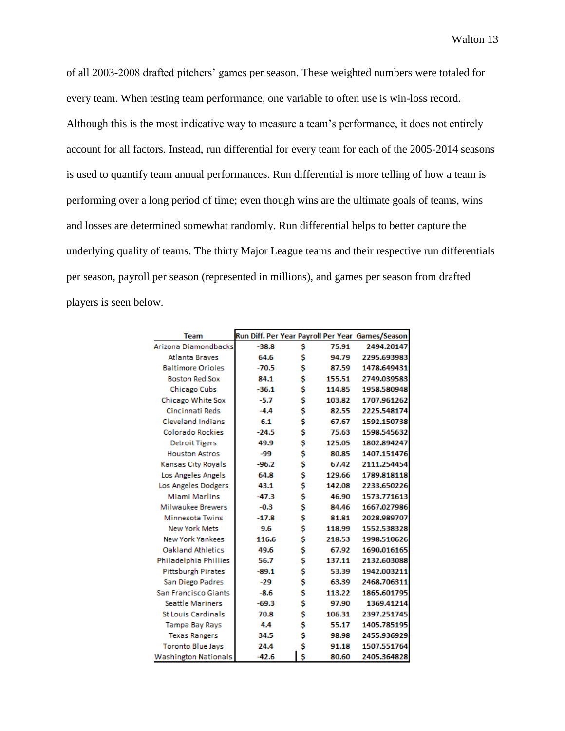of all 2003-2008 drafted pitchers' games per season. These weighted numbers were totaled for every team. When testing team performance, one variable to often use is win-loss record. Although this is the most indicative way to measure a team's performance, it does not entirely account for all factors. Instead, run differential for every team for each of the 2005-2014 seasons is used to quantify team annual performances. Run differential is more telling of how a team is performing over a long period of time; even though wins are the ultimate goals of teams, wins and losses are determined somewhat randomly. Run differential helps to better capture the underlying quality of teams. The thirty Major League teams and their respective run differentials per season, payroll per season (represented in millions), and games per season from drafted players is seen below.

| <b>Team</b>                 |         |    |        | Run Diff. Per Year Payroll Per Year Games/Season |
|-----------------------------|---------|----|--------|--------------------------------------------------|
| Arizona Diamondbacks        | $-38.8$ | \$ | 75.91  | 2494.20147                                       |
| <b>Atlanta Braves</b>       | 64.6    | Ś  | 94.79  | 2295.693983                                      |
| <b>Baltimore Orioles</b>    | $-70.5$ | \$ | 87.59  | 1478.649431                                      |
| <b>Boston Red Sox</b>       | 84.1    | \$ | 155.51 | 2749.039583                                      |
| Chicago Cubs                | $-36.1$ | \$ | 114.85 | 1958.580948                                      |
| Chicago White Sox           | $-5.7$  | \$ | 103.82 | 1707.961262                                      |
| Cincinnati Reds             | $-4.4$  | \$ | 82.55  | 2225.548174                                      |
| <b>Cleveland Indians</b>    | 6.1     | \$ | 67.67  | 1592.150738                                      |
| <b>Colorado Rockies</b>     | $-24.5$ | \$ | 75.63  | 1598.545632                                      |
| <b>Detroit Tigers</b>       | 49.9    | \$ | 125.05 | 1802.894247                                      |
| <b>Houston Astros</b>       | -99     | \$ | 80.85  | 1407.151476                                      |
| Kansas City Royals          | $-96.2$ | \$ | 67.42  | 2111.254454                                      |
| Los Angeles Angels          | 64.8    | \$ | 129.66 | 1789.818118                                      |
| Los Angeles Dodgers         | 43.1    | \$ | 142.08 | 2233.650226                                      |
| <b>Miami Marlins</b>        | $-47.3$ | \$ | 46.90  | 1573.771613                                      |
| <b>Milwaukee Brewers</b>    | $-0.3$  | \$ | 84.46  | 1667.027986                                      |
| <b>Minnesota Twins</b>      | $-17.8$ | \$ | 81.81  | 2028.989707                                      |
| <b>New York Mets</b>        | 9.6     | \$ | 118.99 | 1552.538328                                      |
| <b>New York Yankees</b>     | 116.6   | \$ | 218.53 | 1998.510626                                      |
| <b>Oakland Athletics</b>    | 49.6    | \$ | 67.92  | 1690.016165                                      |
| Philadelphia Phillies       | 56.7    | \$ | 137.11 | 2132.603088                                      |
| <b>Pittsburgh Pirates</b>   | $-89.1$ | \$ | 53.39  | 1942.003211                                      |
| San Diego Padres            | $-29$   | \$ | 63.39  | 2468.706311                                      |
| <b>San Francisco Giants</b> | $-8.6$  | \$ | 113.22 | 1865.601795                                      |
| <b>Seattle Mariners</b>     | $-69.3$ | \$ | 97.90  | 1369.41214                                       |
| <b>St Louis Cardinals</b>   | 70.8    | \$ | 106.31 | 2397.251745                                      |
| Tampa Bay Rays              | 4.4     | \$ | 55.17  | 1405.785195                                      |
| <b>Texas Rangers</b>        | 34.5    | \$ | 98.98  | 2455.936929                                      |
| <b>Toronto Blue Jays</b>    | 24.4    | \$ | 91.18  | 1507.551764                                      |
| Washington Nationals        | $-42.6$ | Ś  | 80.60  | 2405.364828                                      |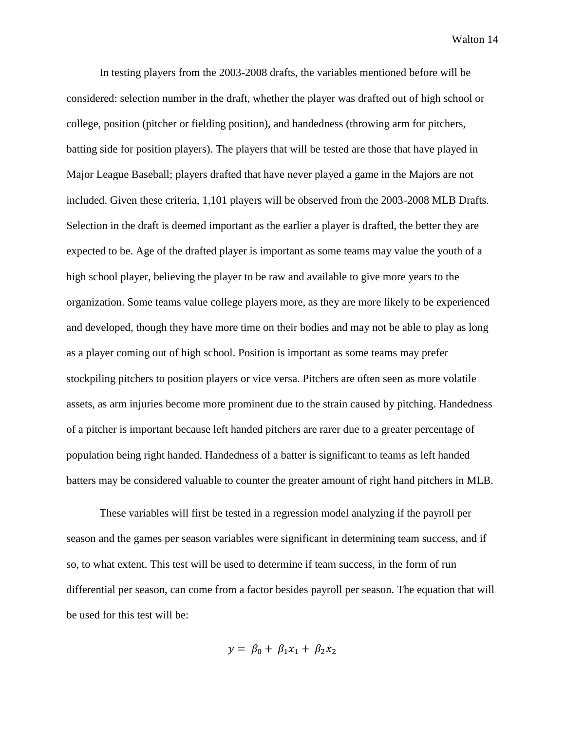In testing players from the 2003-2008 drafts, the variables mentioned before will be considered: selection number in the draft, whether the player was drafted out of high school or college, position (pitcher or fielding position), and handedness (throwing arm for pitchers, batting side for position players). The players that will be tested are those that have played in Major League Baseball; players drafted that have never played a game in the Majors are not included. Given these criteria, 1,101 players will be observed from the 2003-2008 MLB Drafts. Selection in the draft is deemed important as the earlier a player is drafted, the better they are expected to be. Age of the drafted player is important as some teams may value the youth of a high school player, believing the player to be raw and available to give more years to the organization. Some teams value college players more, as they are more likely to be experienced and developed, though they have more time on their bodies and may not be able to play as long as a player coming out of high school. Position is important as some teams may prefer stockpiling pitchers to position players or vice versa. Pitchers are often seen as more volatile assets, as arm injuries become more prominent due to the strain caused by pitching. Handedness of a pitcher is important because left handed pitchers are rarer due to a greater percentage of population being right handed. Handedness of a batter is significant to teams as left handed batters may be considered valuable to counter the greater amount of right hand pitchers in MLB.

These variables will first be tested in a regression model analyzing if the payroll per season and the games per season variables were significant in determining team success, and if so, to what extent. This test will be used to determine if team success, in the form of run differential per season, can come from a factor besides payroll per season. The equation that will be used for this test will be:

$$
y = \beta_0 + \beta_1 x_1 + \beta_2 x_2
$$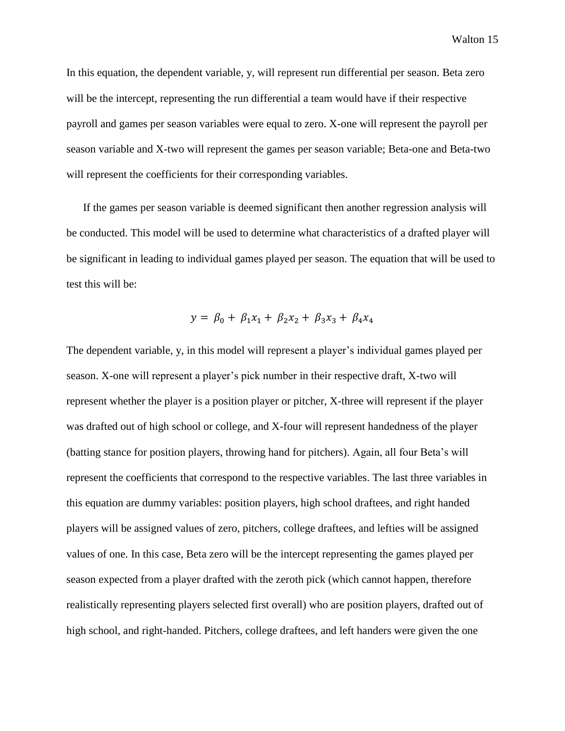In this equation, the dependent variable, y, will represent run differential per season. Beta zero will be the intercept, representing the run differential a team would have if their respective payroll and games per season variables were equal to zero. X-one will represent the payroll per season variable and X-two will represent the games per season variable; Beta-one and Beta-two will represent the coefficients for their corresponding variables.

If the games per season variable is deemed significant then another regression analysis will be conducted. This model will be used to determine what characteristics of a drafted player will be significant in leading to individual games played per season. The equation that will be used to test this will be:

$$
y = \beta_0 + \beta_1 x_1 + \beta_2 x_2 + \beta_3 x_3 + \beta_4 x_4
$$

The dependent variable, y, in this model will represent a player's individual games played per season. X-one will represent a player's pick number in their respective draft, X-two will represent whether the player is a position player or pitcher, X-three will represent if the player was drafted out of high school or college, and X-four will represent handedness of the player (batting stance for position players, throwing hand for pitchers). Again, all four Beta's will represent the coefficients that correspond to the respective variables. The last three variables in this equation are dummy variables: position players, high school draftees, and right handed players will be assigned values of zero, pitchers, college draftees, and lefties will be assigned values of one. In this case, Beta zero will be the intercept representing the games played per season expected from a player drafted with the zeroth pick (which cannot happen, therefore realistically representing players selected first overall) who are position players, drafted out of high school, and right-handed. Pitchers, college draftees, and left handers were given the one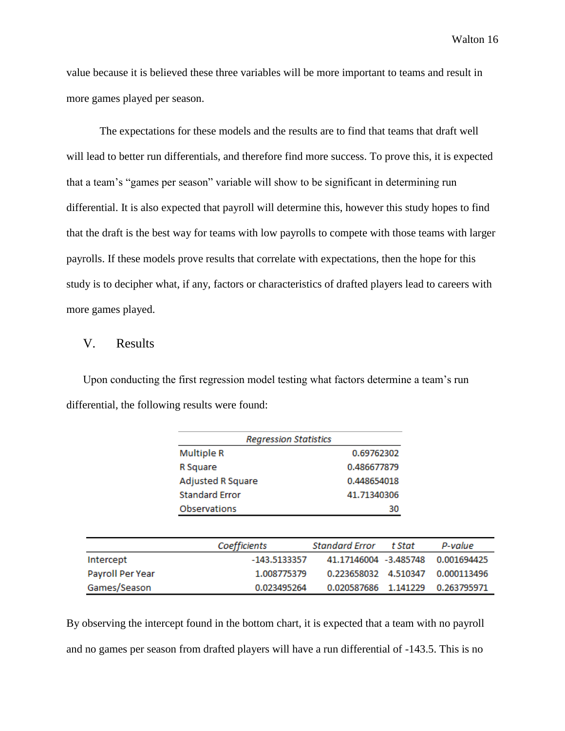value because it is believed these three variables will be more important to teams and result in more games played per season.

The expectations for these models and the results are to find that teams that draft well will lead to better run differentials, and therefore find more success. To prove this, it is expected that a team's "games per season" variable will show to be significant in determining run differential. It is also expected that payroll will determine this, however this study hopes to find that the draft is the best way for teams with low payrolls to compete with those teams with larger payrolls. If these models prove results that correlate with expectations, then the hope for this study is to decipher what, if any, factors or characteristics of drafted players lead to careers with more games played.

#### V. Results

Upon conducting the first regression model testing what factors determine a team's run differential, the following results were found:

| <b>Multiple R</b>        | 0.69762302  |
|--------------------------|-------------|
| R Square                 | 0.486677879 |
| <b>Adjusted R Square</b> | 0.448654018 |
| <b>Standard Frror</b>    | 41.71340306 |
| Observations             | 30          |

|                  | Coefficients   | Standard Error t Stat | P-value                           |
|------------------|----------------|-----------------------|-----------------------------------|
| Intercept        | $-143.5133357$ |                       | 41.17146004 -3.485748 0.001694425 |
| Payroll Per Year | 1.008775379    |                       | 0.223658032 4.510347 0.000113496  |
| Games/Season     | 0.023495264    |                       | 0.020587686 1.141229 0.263795971  |

By observing the intercept found in the bottom chart, it is expected that a team with no payroll and no games per season from drafted players will have a run differential of -143.5. This is no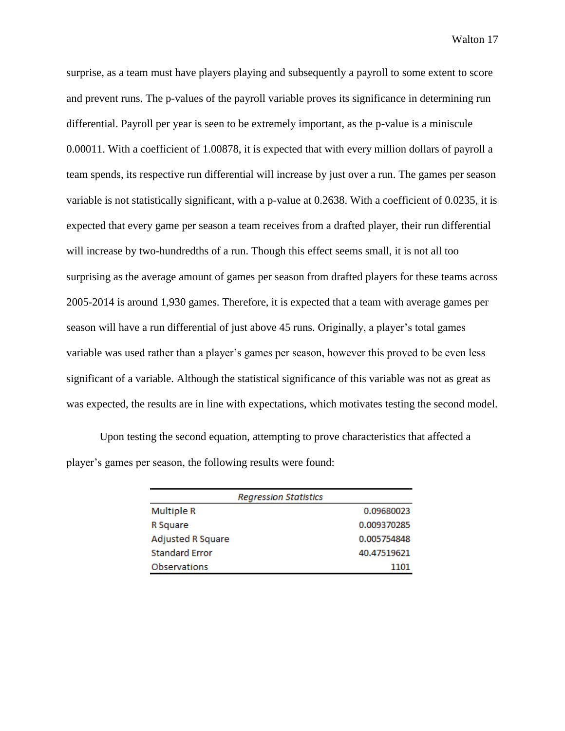surprise, as a team must have players playing and subsequently a payroll to some extent to score and prevent runs. The p-values of the payroll variable proves its significance in determining run differential. Payroll per year is seen to be extremely important, as the p-value is a miniscule 0.00011. With a coefficient of 1.00878, it is expected that with every million dollars of payroll a team spends, its respective run differential will increase by just over a run. The games per season variable is not statistically significant, with a p-value at 0.2638. With a coefficient of 0.0235, it is expected that every game per season a team receives from a drafted player, their run differential will increase by two-hundredths of a run. Though this effect seems small, it is not all too surprising as the average amount of games per season from drafted players for these teams across 2005-2014 is around 1,930 games. Therefore, it is expected that a team with average games per season will have a run differential of just above 45 runs. Originally, a player's total games variable was used rather than a player's games per season, however this proved to be even less significant of a variable. Although the statistical significance of this variable was not as great as was expected, the results are in line with expectations, which motivates testing the second model.

Upon testing the second equation, attempting to prove characteristics that affected a player's games per season, the following results were found:

|                       | <b>Regression Statistics</b> |             |
|-----------------------|------------------------------|-------------|
| <b>Multiple R</b>     |                              | 0.09680023  |
| R Square              |                              | 0.009370285 |
| Adjusted R Square     |                              | 0.005754848 |
| <b>Standard Error</b> |                              | 40.47519621 |
| <b>Observations</b>   |                              | 1101        |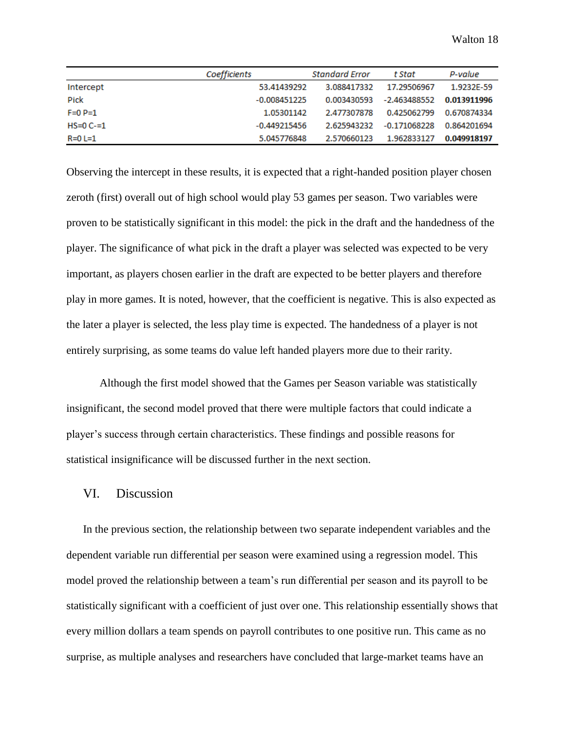|                | Coefficients   | <b>Standard Error</b> | t Stat       | P-value     |
|----------------|----------------|-----------------------|--------------|-------------|
| Intercept      | 53.41439292    | 3.088417332           | 17.29506967  | 1.9232F-59  |
| Pick           | $-0.008451225$ | 0.003430593           | -2.463488552 | 0.013911996 |
| $F=0 P=1$      | 1.05301142     | 2.477307878           | 0.425062799  | 0.670874334 |
| $HS = 0 C = 1$ | -0.449215456   | 2.625943232           | -0.171068228 | 0.864201694 |
| $R=0$ L=1      | 5.045776848    | 2.570660123           | 1.962833127  | 0.049918197 |

Observing the intercept in these results, it is expected that a right-handed position player chosen zeroth (first) overall out of high school would play 53 games per season. Two variables were proven to be statistically significant in this model: the pick in the draft and the handedness of the player. The significance of what pick in the draft a player was selected was expected to be very important, as players chosen earlier in the draft are expected to be better players and therefore play in more games. It is noted, however, that the coefficient is negative. This is also expected as the later a player is selected, the less play time is expected. The handedness of a player is not entirely surprising, as some teams do value left handed players more due to their rarity.

Although the first model showed that the Games per Season variable was statistically insignificant, the second model proved that there were multiple factors that could indicate a player's success through certain characteristics. These findings and possible reasons for statistical insignificance will be discussed further in the next section.

#### VI. Discussion

In the previous section, the relationship between two separate independent variables and the dependent variable run differential per season were examined using a regression model. This model proved the relationship between a team's run differential per season and its payroll to be statistically significant with a coefficient of just over one. This relationship essentially shows that every million dollars a team spends on payroll contributes to one positive run. This came as no surprise, as multiple analyses and researchers have concluded that large-market teams have an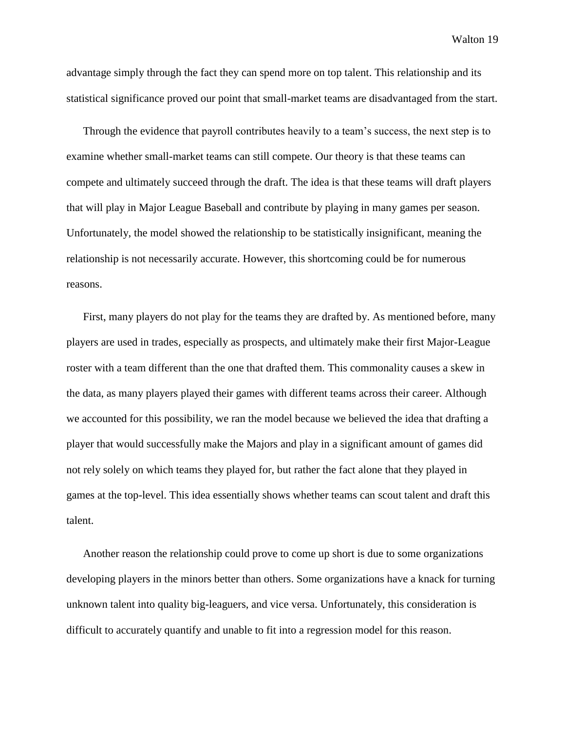advantage simply through the fact they can spend more on top talent. This relationship and its statistical significance proved our point that small-market teams are disadvantaged from the start.

Through the evidence that payroll contributes heavily to a team's success, the next step is to examine whether small-market teams can still compete. Our theory is that these teams can compete and ultimately succeed through the draft. The idea is that these teams will draft players that will play in Major League Baseball and contribute by playing in many games per season. Unfortunately, the model showed the relationship to be statistically insignificant, meaning the relationship is not necessarily accurate. However, this shortcoming could be for numerous reasons.

First, many players do not play for the teams they are drafted by. As mentioned before, many players are used in trades, especially as prospects, and ultimately make their first Major-League roster with a team different than the one that drafted them. This commonality causes a skew in the data, as many players played their games with different teams across their career. Although we accounted for this possibility, we ran the model because we believed the idea that drafting a player that would successfully make the Majors and play in a significant amount of games did not rely solely on which teams they played for, but rather the fact alone that they played in games at the top-level. This idea essentially shows whether teams can scout talent and draft this talent.

Another reason the relationship could prove to come up short is due to some organizations developing players in the minors better than others. Some organizations have a knack for turning unknown talent into quality big-leaguers, and vice versa. Unfortunately, this consideration is difficult to accurately quantify and unable to fit into a regression model for this reason.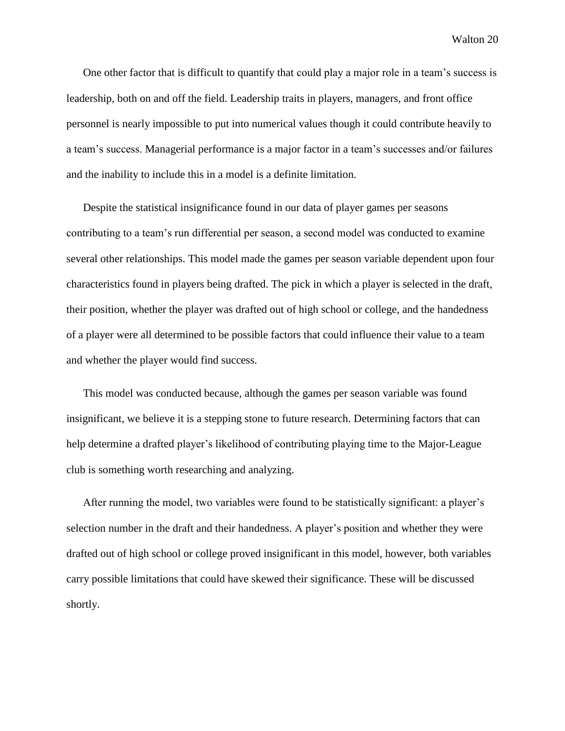One other factor that is difficult to quantify that could play a major role in a team's success is leadership, both on and off the field. Leadership traits in players, managers, and front office personnel is nearly impossible to put into numerical values though it could contribute heavily to a team's success. Managerial performance is a major factor in a team's successes and/or failures and the inability to include this in a model is a definite limitation.

Despite the statistical insignificance found in our data of player games per seasons contributing to a team's run differential per season, a second model was conducted to examine several other relationships. This model made the games per season variable dependent upon four characteristics found in players being drafted. The pick in which a player is selected in the draft, their position, whether the player was drafted out of high school or college, and the handedness of a player were all determined to be possible factors that could influence their value to a team and whether the player would find success.

This model was conducted because, although the games per season variable was found insignificant, we believe it is a stepping stone to future research. Determining factors that can help determine a drafted player's likelihood of contributing playing time to the Major-League club is something worth researching and analyzing.

After running the model, two variables were found to be statistically significant: a player's selection number in the draft and their handedness. A player's position and whether they were drafted out of high school or college proved insignificant in this model, however, both variables carry possible limitations that could have skewed their significance. These will be discussed shortly.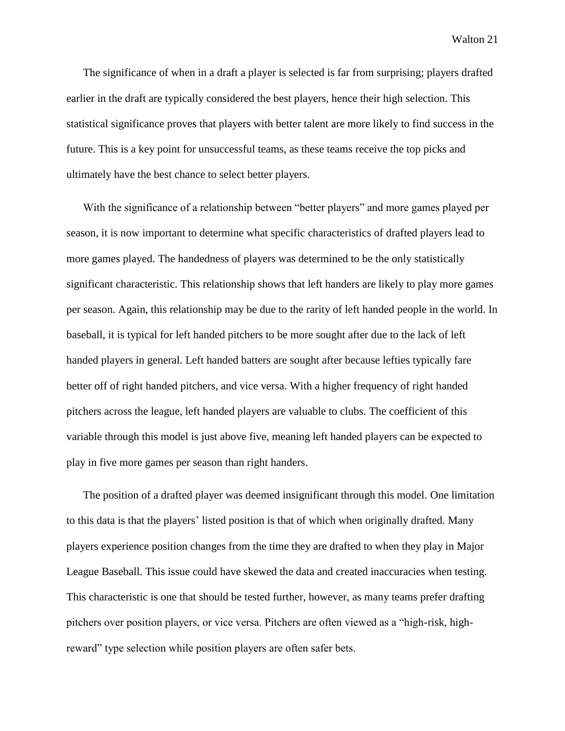The significance of when in a draft a player is selected is far from surprising; players drafted earlier in the draft are typically considered the best players, hence their high selection. This statistical significance proves that players with better talent are more likely to find success in the future. This is a key point for unsuccessful teams, as these teams receive the top picks and ultimately have the best chance to select better players.

With the significance of a relationship between "better players" and more games played per season, it is now important to determine what specific characteristics of drafted players lead to more games played. The handedness of players was determined to be the only statistically significant characteristic. This relationship shows that left handers are likely to play more games per season. Again, this relationship may be due to the rarity of left handed people in the world. In baseball, it is typical for left handed pitchers to be more sought after due to the lack of left handed players in general. Left handed batters are sought after because lefties typically fare better off of right handed pitchers, and vice versa. With a higher frequency of right handed pitchers across the league, left handed players are valuable to clubs. The coefficient of this variable through this model is just above five, meaning left handed players can be expected to play in five more games per season than right handers.

The position of a drafted player was deemed insignificant through this model. One limitation to this data is that the players' listed position is that of which when originally drafted. Many players experience position changes from the time they are drafted to when they play in Major League Baseball. This issue could have skewed the data and created inaccuracies when testing. This characteristic is one that should be tested further, however, as many teams prefer drafting pitchers over position players, or vice versa. Pitchers are often viewed as a "high-risk, highreward" type selection while position players are often safer bets.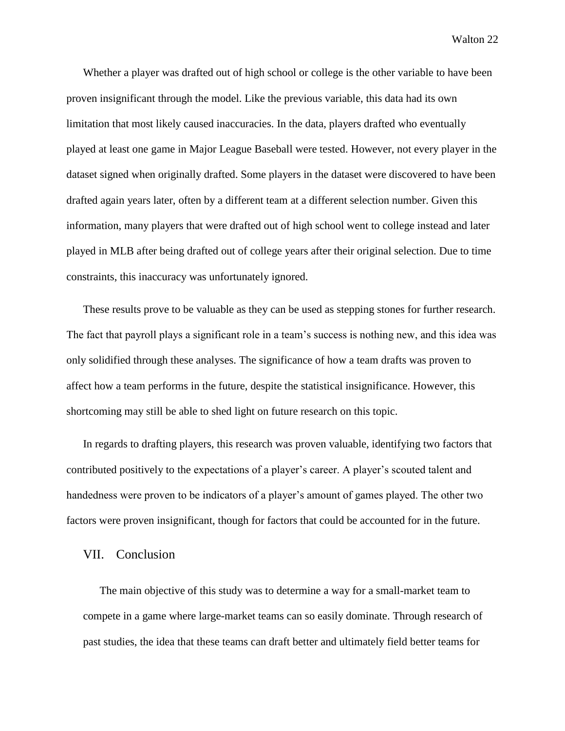Whether a player was drafted out of high school or college is the other variable to have been proven insignificant through the model. Like the previous variable, this data had its own limitation that most likely caused inaccuracies. In the data, players drafted who eventually played at least one game in Major League Baseball were tested. However, not every player in the dataset signed when originally drafted. Some players in the dataset were discovered to have been drafted again years later, often by a different team at a different selection number. Given this information, many players that were drafted out of high school went to college instead and later played in MLB after being drafted out of college years after their original selection. Due to time constraints, this inaccuracy was unfortunately ignored.

These results prove to be valuable as they can be used as stepping stones for further research. The fact that payroll plays a significant role in a team's success is nothing new, and this idea was only solidified through these analyses. The significance of how a team drafts was proven to affect how a team performs in the future, despite the statistical insignificance. However, this shortcoming may still be able to shed light on future research on this topic.

In regards to drafting players, this research was proven valuable, identifying two factors that contributed positively to the expectations of a player's career. A player's scouted talent and handedness were proven to be indicators of a player's amount of games played. The other two factors were proven insignificant, though for factors that could be accounted for in the future.

#### VII. Conclusion

The main objective of this study was to determine a way for a small-market team to compete in a game where large-market teams can so easily dominate. Through research of past studies, the idea that these teams can draft better and ultimately field better teams for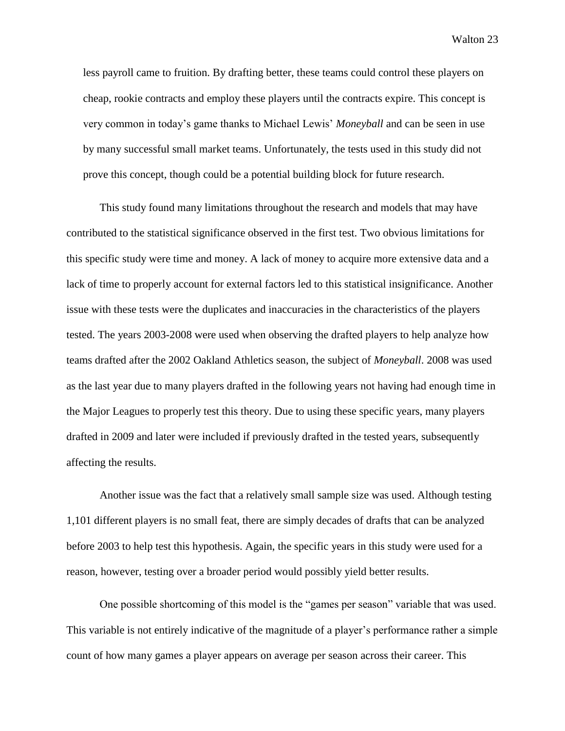less payroll came to fruition. By drafting better, these teams could control these players on cheap, rookie contracts and employ these players until the contracts expire. This concept is very common in today's game thanks to Michael Lewis' *Moneyball* and can be seen in use by many successful small market teams. Unfortunately, the tests used in this study did not prove this concept, though could be a potential building block for future research.

This study found many limitations throughout the research and models that may have contributed to the statistical significance observed in the first test. Two obvious limitations for this specific study were time and money. A lack of money to acquire more extensive data and a lack of time to properly account for external factors led to this statistical insignificance. Another issue with these tests were the duplicates and inaccuracies in the characteristics of the players tested. The years 2003-2008 were used when observing the drafted players to help analyze how teams drafted after the 2002 Oakland Athletics season, the subject of *Moneyball*. 2008 was used as the last year due to many players drafted in the following years not having had enough time in the Major Leagues to properly test this theory. Due to using these specific years, many players drafted in 2009 and later were included if previously drafted in the tested years, subsequently affecting the results.

Another issue was the fact that a relatively small sample size was used. Although testing 1,101 different players is no small feat, there are simply decades of drafts that can be analyzed before 2003 to help test this hypothesis. Again, the specific years in this study were used for a reason, however, testing over a broader period would possibly yield better results.

One possible shortcoming of this model is the "games per season" variable that was used. This variable is not entirely indicative of the magnitude of a player's performance rather a simple count of how many games a player appears on average per season across their career. This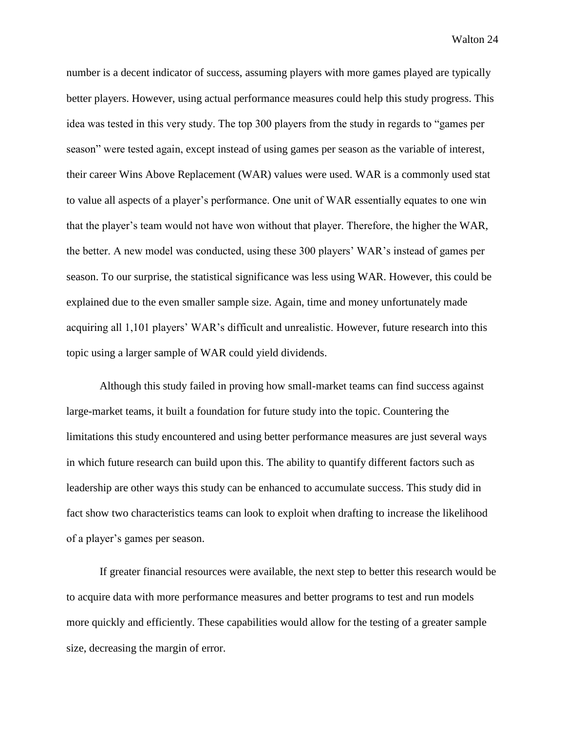number is a decent indicator of success, assuming players with more games played are typically better players. However, using actual performance measures could help this study progress. This idea was tested in this very study. The top 300 players from the study in regards to "games per season" were tested again, except instead of using games per season as the variable of interest, their career Wins Above Replacement (WAR) values were used. WAR is a commonly used stat to value all aspects of a player's performance. One unit of WAR essentially equates to one win that the player's team would not have won without that player. Therefore, the higher the WAR, the better. A new model was conducted, using these 300 players' WAR's instead of games per season. To our surprise, the statistical significance was less using WAR. However, this could be explained due to the even smaller sample size. Again, time and money unfortunately made acquiring all 1,101 players' WAR's difficult and unrealistic. However, future research into this topic using a larger sample of WAR could yield dividends.

Although this study failed in proving how small-market teams can find success against large-market teams, it built a foundation for future study into the topic. Countering the limitations this study encountered and using better performance measures are just several ways in which future research can build upon this. The ability to quantify different factors such as leadership are other ways this study can be enhanced to accumulate success. This study did in fact show two characteristics teams can look to exploit when drafting to increase the likelihood of a player's games per season.

If greater financial resources were available, the next step to better this research would be to acquire data with more performance measures and better programs to test and run models more quickly and efficiently. These capabilities would allow for the testing of a greater sample size, decreasing the margin of error.